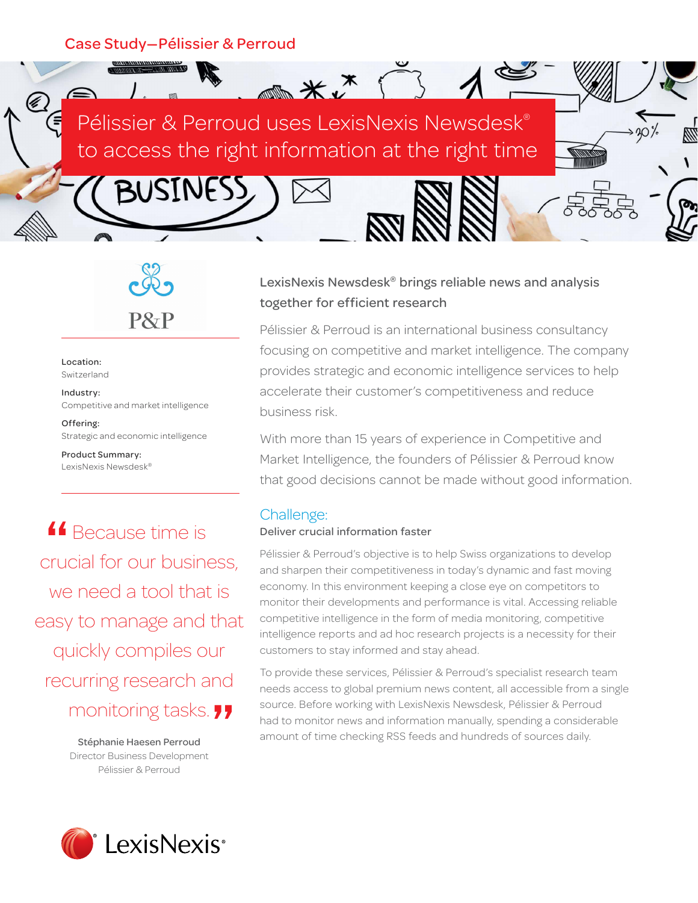**SINESS** 



 $\overline{**}$ 

P&P

Location: Switzerland

Industry: Competitive and market intelligence

Offering: Strategic and economic intelligence

Product Summary: LexisNexis Newsdesk®

**4** Because time is<br> **Social for our busine** crucial for our business, we need a tool that is easy to manage and that quickly compiles our recurring research and

monitoring tasks. "<br> **Stéphanie Haesen Perroud**<br>
Director Business Development Stéphanie Haesen Perroud Director Business Development Pélissier & Perroud

# LexisNexis Newsdesk® brings reliable news and analysis together for efficient research

Pélissier & Perroud is an international business consultancy focusing on competitive and market intelligence. The company provides strategic and economic intelligence services to help accelerate their customer's competitiveness and reduce business risk.

With more than 15 years of experience in Competitive and Market Intelligence, the founders of Pélissier & Perroud know that good decisions cannot be made without good information.

## Challenge:

#### Deliver crucial information faster

Pélissier & Perroud's objective is to help Swiss organizations to develop and sharpen their competitiveness in today's dynamic and fast moving economy. In this environment keeping a close eye on competitors to monitor their developments and performance is vital. Accessing reliable competitive intelligence in the form of media monitoring, competitive intelligence reports and ad hoc research projects is a necessity for their customers to stay informed and stay ahead.

To provide these services, Pélissier & Perroud's specialist research team needs access to global premium news content, all accessible from a single source. Before working with LexisNexis Newsdesk, Pélissier & Perroud had to monitor news and information manually, spending a considerable amount of time checking RSS feeds and hundreds of sources daily.